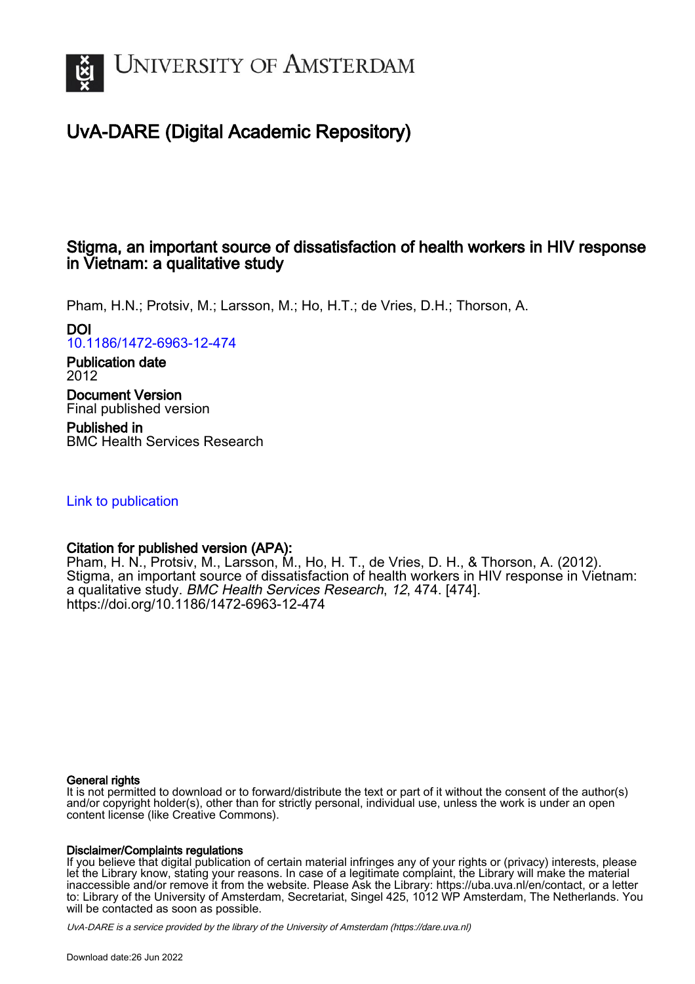

# UvA-DARE (Digital Academic Repository)

# Stigma, an important source of dissatisfaction of health workers in HIV response in Vietnam: a qualitative study

Pham, H.N.; Protsiv, M.; Larsson, M.; Ho, H.T.; de Vries, D.H.; Thorson, A. DOI

[10.1186/1472-6963-12-474](https://doi.org/10.1186/1472-6963-12-474)

Publication date 2012

Document Version Final published version

Published in BMC Health Services Research

[Link to publication](https://dare.uva.nl/personal/pure/en/publications/stigma-an-important-source-of-dissatisfaction-of-health-workers-in-hiv-response-in-vietnam-a-qualitative-study(ea4d5df8-20ec-4119-b036-ee5847a5fa9a).html)

# Citation for published version (APA):

Pham, H. N., Protsiv, M., Larsson, M., Ho, H. T., de Vries, D. H., & Thorson, A. (2012). Stigma, an important source of dissatisfaction of health workers in HIV response in Vietnam: a qualitative study. BMC Health Services Research, 12, 474. [474]. <https://doi.org/10.1186/1472-6963-12-474>

# General rights

It is not permitted to download or to forward/distribute the text or part of it without the consent of the author(s) and/or copyright holder(s), other than for strictly personal, individual use, unless the work is under an open content license (like Creative Commons).

# Disclaimer/Complaints regulations

If you believe that digital publication of certain material infringes any of your rights or (privacy) interests, please let the Library know, stating your reasons. In case of a legitimate complaint, the Library will make the material inaccessible and/or remove it from the website. Please Ask the Library: https://uba.uva.nl/en/contact, or a letter to: Library of the University of Amsterdam, Secretariat, Singel 425, 1012 WP Amsterdam, The Netherlands. You will be contacted as soon as possible.

UvA-DARE is a service provided by the library of the University of Amsterdam (http*s*://dare.uva.nl)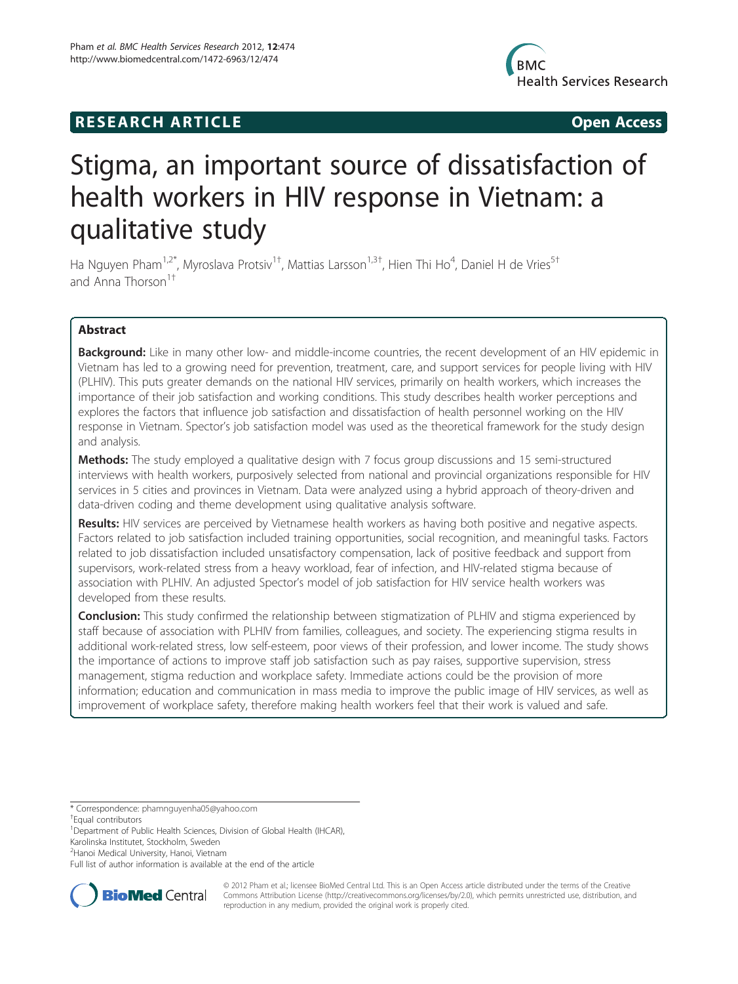



# Stigma, an important source of dissatisfaction of health workers in HIV response in Vietnam: a qualitative study

Ha Nguyen Pham<sup>1,2\*</sup>, Myroslava Protsiv<sup>1†</sup>, Mattias Larsson<sup>1,3†</sup>, Hien Thi Ho<sup>4</sup>, Daniel H de Vries<sup>5†</sup> and Anna Thorson $1^{\dagger}$ 

# Abstract

**Background:** Like in many other low- and middle-income countries, the recent development of an HIV epidemic in Vietnam has led to a growing need for prevention, treatment, care, and support services for people living with HIV (PLHIV). This puts greater demands on the national HIV services, primarily on health workers, which increases the importance of their job satisfaction and working conditions. This study describes health worker perceptions and explores the factors that influence job satisfaction and dissatisfaction of health personnel working on the HIV response in Vietnam. Spector's job satisfaction model was used as the theoretical framework for the study design and analysis.

Methods: The study employed a qualitative design with 7 focus group discussions and 15 semi-structured interviews with health workers, purposively selected from national and provincial organizations responsible for HIV services in 5 cities and provinces in Vietnam. Data were analyzed using a hybrid approach of theory-driven and data-driven coding and theme development using qualitative analysis software.

Results: HIV services are perceived by Vietnamese health workers as having both positive and negative aspects. Factors related to job satisfaction included training opportunities, social recognition, and meaningful tasks. Factors related to job dissatisfaction included unsatisfactory compensation, lack of positive feedback and support from supervisors, work-related stress from a heavy workload, fear of infection, and HIV-related stigma because of association with PLHIV. An adjusted Spector's model of job satisfaction for HIV service health workers was developed from these results.

**Conclusion:** This study confirmed the relationship between stigmatization of PLHIV and stigma experienced by staff because of association with PLHIV from families, colleagues, and society. The experiencing stigma results in additional work-related stress, low self-esteem, poor views of their profession, and lower income. The study shows the importance of actions to improve staff job satisfaction such as pay raises, supportive supervision, stress management, stigma reduction and workplace safety. Immediate actions could be the provision of more information; education and communication in mass media to improve the public image of HIV services, as well as improvement of workplace safety, therefore making health workers feel that their work is valued and safe.

Karolinska Institutet, Stockholm, Sweden

<sup>2</sup>Hanoi Medical University, Hanoi, Vietnam

Full list of author information is available at the end of the article



© 2012 Pham et al.; licensee BioMed Central Ltd. This is an Open Access article distributed under the terms of the Creative Commons Attribution License [\(http://creativecommons.org/licenses/by/2.0\)](http://creativecommons.org/licenses/by/2.0), which permits unrestricted use, distribution, and reproduction in any medium, provided the original work is properly cited.

<sup>\*</sup> Correspondence: [phamnguyenha05@yahoo.com](mailto:phamnguyenha05@yahoo.com) †

Equal contributors

<sup>&</sup>lt;sup>1</sup>Department of Public Health Sciences, Division of Global Health (IHCAR),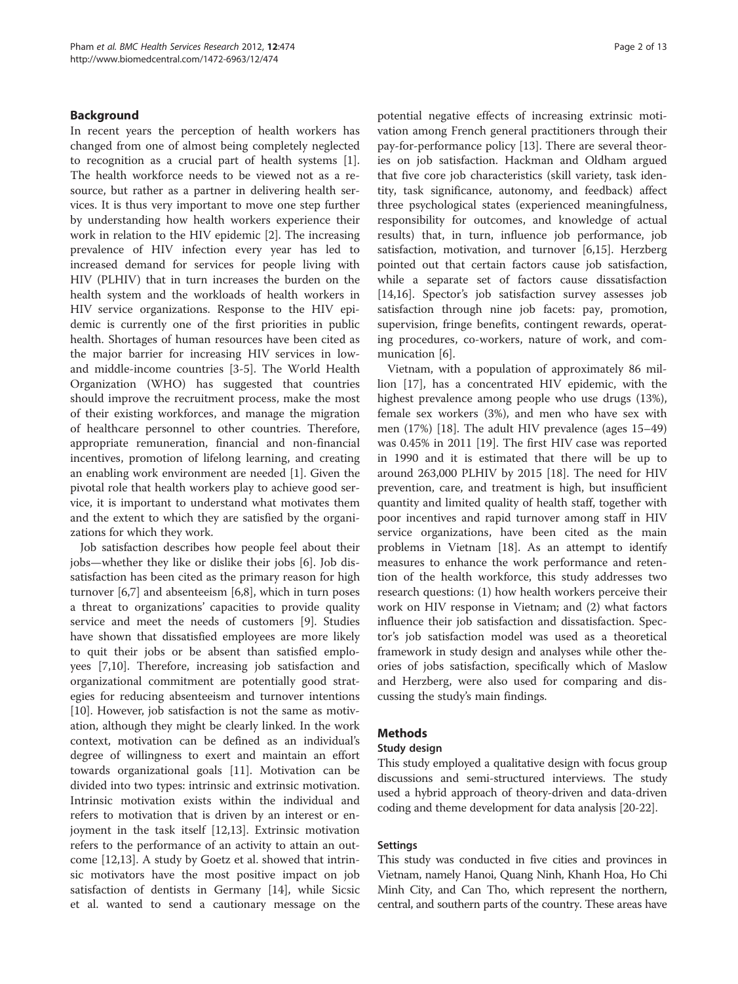# Background

In recent years the perception of health workers has changed from one of almost being completely neglected to recognition as a crucial part of health systems [\[1](#page-12-0)]. The health workforce needs to be viewed not as a resource, but rather as a partner in delivering health services. It is thus very important to move one step further by understanding how health workers experience their work in relation to the HIV epidemic [[2\]](#page-12-0). The increasing prevalence of HIV infection every year has led to increased demand for services for people living with HIV (PLHIV) that in turn increases the burden on the health system and the workloads of health workers in HIV service organizations. Response to the HIV epidemic is currently one of the first priorities in public health. Shortages of human resources have been cited as the major barrier for increasing HIV services in lowand middle-income countries [\[3](#page-12-0)-[5\]](#page-12-0). The World Health Organization (WHO) has suggested that countries should improve the recruitment process, make the most of their existing workforces, and manage the migration of healthcare personnel to other countries. Therefore, appropriate remuneration, financial and non-financial incentives, promotion of lifelong learning, and creating an enabling work environment are needed [\[1](#page-12-0)]. Given the pivotal role that health workers play to achieve good service, it is important to understand what motivates them and the extent to which they are satisfied by the organizations for which they work.

Job satisfaction describes how people feel about their jobs—whether they like or dislike their jobs [[6\]](#page-12-0). Job dissatisfaction has been cited as the primary reason for high turnover [\[6,7\]](#page-12-0) and absenteeism [[6](#page-12-0),[8](#page-12-0)], which in turn poses a threat to organizations' capacities to provide quality service and meet the needs of customers [[9\]](#page-12-0). Studies have shown that dissatisfied employees are more likely to quit their jobs or be absent than satisfied employees [[7](#page-12-0),[10](#page-12-0)]. Therefore, increasing job satisfaction and organizational commitment are potentially good strategies for reducing absenteeism and turnover intentions [[10\]](#page-12-0). However, job satisfaction is not the same as motivation, although they might be clearly linked. In the work context, motivation can be defined as an individual's degree of willingness to exert and maintain an effort towards organizational goals [[11](#page-12-0)]. Motivation can be divided into two types: intrinsic and extrinsic motivation. Intrinsic motivation exists within the individual and refers to motivation that is driven by an interest or enjoyment in the task itself [[12,13\]](#page-12-0). Extrinsic motivation refers to the performance of an activity to attain an outcome [[12,13\]](#page-12-0). A study by Goetz et al. showed that intrinsic motivators have the most positive impact on job satisfaction of dentists in Germany [[14](#page-13-0)], while Sicsic et al. wanted to send a cautionary message on the potential negative effects of increasing extrinsic motivation among French general practitioners through their pay-for-performance policy [\[13](#page-12-0)]. There are several theories on job satisfaction. Hackman and Oldham argued that five core job characteristics (skill variety, task identity, task significance, autonomy, and feedback) affect three psychological states (experienced meaningfulness, responsibility for outcomes, and knowledge of actual results) that, in turn, influence job performance, job satisfaction, motivation, and turnover [\[6](#page-12-0)[,15](#page-13-0)]. Herzberg pointed out that certain factors cause job satisfaction, while a separate set of factors cause dissatisfaction [[14,16\]](#page-13-0). Spector's job satisfaction survey assesses job satisfaction through nine job facets: pay, promotion, supervision, fringe benefits, contingent rewards, operating procedures, co-workers, nature of work, and communication [\[6](#page-12-0)].

Vietnam, with a population of approximately 86 million [[17\]](#page-13-0), has a concentrated HIV epidemic, with the highest prevalence among people who use drugs (13%), female sex workers (3%), and men who have sex with men (17%) [[18\]](#page-13-0). The adult HIV prevalence (ages 15–49) was 0.45% in 2011 [\[19](#page-13-0)]. The first HIV case was reported in 1990 and it is estimated that there will be up to around 263,000 PLHIV by 2015 [\[18](#page-13-0)]. The need for HIV prevention, care, and treatment is high, but insufficient quantity and limited quality of health staff, together with poor incentives and rapid turnover among staff in HIV service organizations, have been cited as the main problems in Vietnam [\[18\]](#page-13-0). As an attempt to identify measures to enhance the work performance and retention of the health workforce, this study addresses two research questions: (1) how health workers perceive their work on HIV response in Vietnam; and (2) what factors influence their job satisfaction and dissatisfaction. Spector's job satisfaction model was used as a theoretical framework in study design and analyses while other theories of jobs satisfaction, specifically which of Maslow and Herzberg, were also used for comparing and discussing the study's main findings.

# Methods

# Study design

This study employed a qualitative design with focus group discussions and semi-structured interviews. The study used a hybrid approach of theory-driven and data-driven coding and theme development for data analysis [\[20-22\]](#page-13-0).

# Settings

This study was conducted in five cities and provinces in Vietnam, namely Hanoi, Quang Ninh, Khanh Hoa, Ho Chi Minh City, and Can Tho, which represent the northern, central, and southern parts of the country. These areas have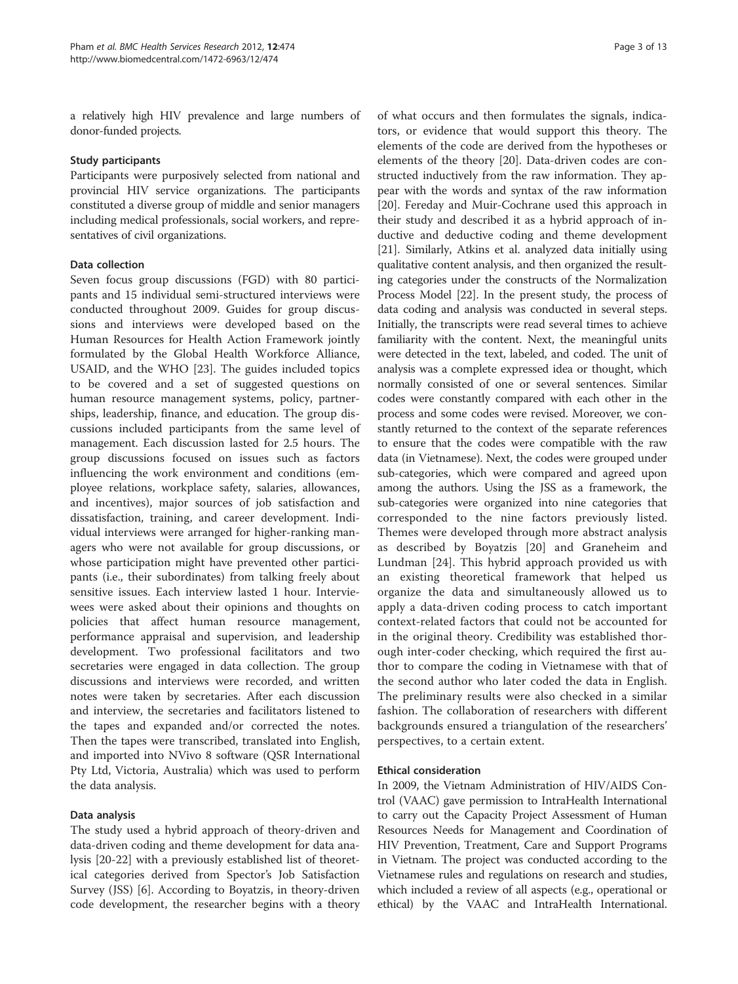a relatively high HIV prevalence and large numbers of donor-funded projects.

# Study participants

Participants were purposively selected from national and provincial HIV service organizations. The participants constituted a diverse group of middle and senior managers including medical professionals, social workers, and representatives of civil organizations.

# Data collection

Seven focus group discussions (FGD) with 80 participants and 15 individual semi-structured interviews were conducted throughout 2009. Guides for group discussions and interviews were developed based on the Human Resources for Health Action Framework jointly formulated by the Global Health Workforce Alliance, USAID, and the WHO [\[23\]](#page-13-0). The guides included topics to be covered and a set of suggested questions on human resource management systems, policy, partnerships, leadership, finance, and education. The group discussions included participants from the same level of management. Each discussion lasted for 2.5 hours. The group discussions focused on issues such as factors influencing the work environment and conditions (employee relations, workplace safety, salaries, allowances, and incentives), major sources of job satisfaction and dissatisfaction, training, and career development. Individual interviews were arranged for higher-ranking managers who were not available for group discussions, or whose participation might have prevented other participants (i.e., their subordinates) from talking freely about sensitive issues. Each interview lasted 1 hour. Interviewees were asked about their opinions and thoughts on policies that affect human resource management, performance appraisal and supervision, and leadership development. Two professional facilitators and two secretaries were engaged in data collection. The group discussions and interviews were recorded, and written notes were taken by secretaries. After each discussion and interview, the secretaries and facilitators listened to the tapes and expanded and/or corrected the notes. Then the tapes were transcribed, translated into English, and imported into NVivo 8 software (QSR International Pty Ltd, Victoria, Australia) which was used to perform the data analysis.

# Data analysis

The study used a hybrid approach of theory-driven and data-driven coding and theme development for data analysis [\[20](#page-13-0)-[22](#page-13-0)] with a previously established list of theoretical categories derived from Spector's Job Satisfaction Survey (JSS) [[6\]](#page-12-0). According to Boyatzis, in theory-driven code development, the researcher begins with a theory

of what occurs and then formulates the signals, indicators, or evidence that would support this theory. The elements of the code are derived from the hypotheses or elements of the theory [\[20\]](#page-13-0). Data-driven codes are constructed inductively from the raw information. They appear with the words and syntax of the raw information [[20\]](#page-13-0). Fereday and Muir-Cochrane used this approach in their study and described it as a hybrid approach of inductive and deductive coding and theme development [[21\]](#page-13-0). Similarly, Atkins et al. analyzed data initially using qualitative content analysis, and then organized the resulting categories under the constructs of the Normalization Process Model [[22](#page-13-0)]. In the present study, the process of data coding and analysis was conducted in several steps. Initially, the transcripts were read several times to achieve familiarity with the content. Next, the meaningful units were detected in the text, labeled, and coded. The unit of analysis was a complete expressed idea or thought, which normally consisted of one or several sentences. Similar codes were constantly compared with each other in the process and some codes were revised. Moreover, we constantly returned to the context of the separate references to ensure that the codes were compatible with the raw data (in Vietnamese). Next, the codes were grouped under sub-categories, which were compared and agreed upon among the authors. Using the JSS as a framework, the sub-categories were organized into nine categories that corresponded to the nine factors previously listed. Themes were developed through more abstract analysis as described by Boyatzis [[20\]](#page-13-0) and Graneheim and Lundman [[24](#page-13-0)]. This hybrid approach provided us with an existing theoretical framework that helped us organize the data and simultaneously allowed us to apply a data-driven coding process to catch important context-related factors that could not be accounted for in the original theory. Credibility was established thorough inter-coder checking, which required the first author to compare the coding in Vietnamese with that of the second author who later coded the data in English. The preliminary results were also checked in a similar fashion. The collaboration of researchers with different backgrounds ensured a triangulation of the researchers' perspectives, to a certain extent.

# Ethical consideration

In 2009, the Vietnam Administration of HIV/AIDS Control (VAAC) gave permission to IntraHealth International to carry out the Capacity Project Assessment of Human Resources Needs for Management and Coordination of HIV Prevention, Treatment, Care and Support Programs in Vietnam. The project was conducted according to the Vietnamese rules and regulations on research and studies, which included a review of all aspects (e.g., operational or ethical) by the VAAC and IntraHealth International.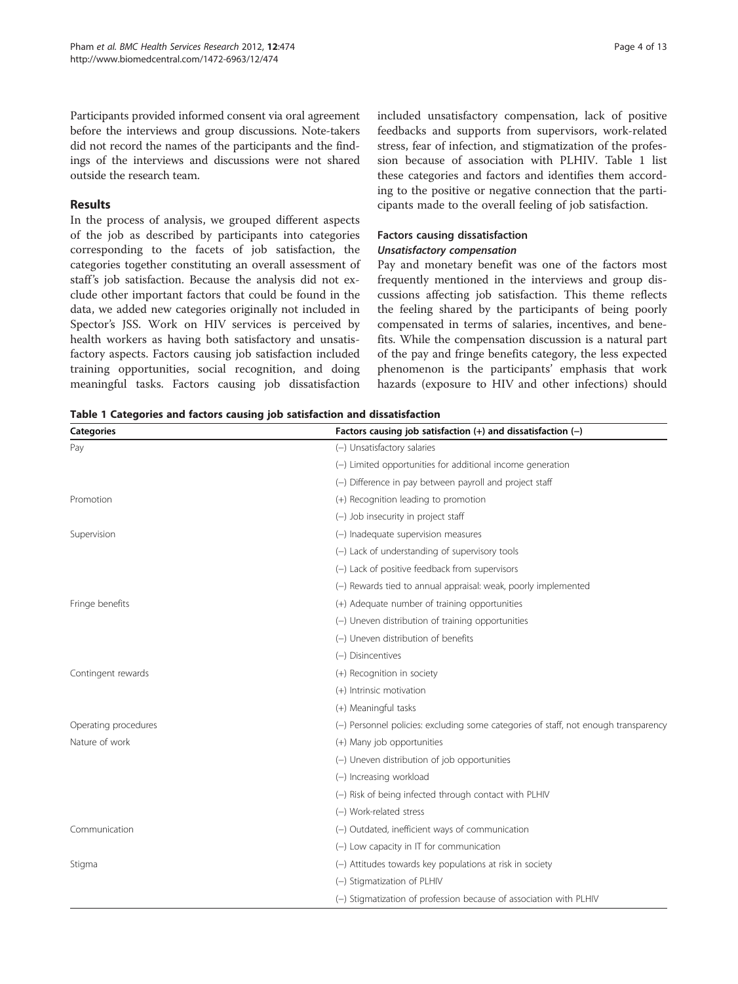Participants provided informed consent via oral agreement before the interviews and group discussions. Note-takers did not record the names of the participants and the findings of the interviews and discussions were not shared outside the research team.

# Results

In the process of analysis, we grouped different aspects of the job as described by participants into categories corresponding to the facets of job satisfaction, the categories together constituting an overall assessment of staff's job satisfaction. Because the analysis did not exclude other important factors that could be found in the data, we added new categories originally not included in Spector's JSS. Work on HIV services is perceived by health workers as having both satisfactory and unsatisfactory aspects. Factors causing job satisfaction included training opportunities, social recognition, and doing meaningful tasks. Factors causing job dissatisfaction

included unsatisfactory compensation, lack of positive feedbacks and supports from supervisors, work-related stress, fear of infection, and stigmatization of the profession because of association with PLHIV. Table 1 list these categories and factors and identifies them according to the positive or negative connection that the participants made to the overall feeling of job satisfaction.

# Factors causing dissatisfaction

# Unsatisfactory compensation

Pay and monetary benefit was one of the factors most frequently mentioned in the interviews and group discussions affecting job satisfaction. This theme reflects the feeling shared by the participants of being poorly compensated in terms of salaries, incentives, and benefits. While the compensation discussion is a natural part of the pay and fringe benefits category, the less expected phenomenon is the participants' emphasis that work hazards (exposure to HIV and other infections) should

Table 1 Categories and factors causing job satisfaction and dissatisfaction

| <b>Categories</b>    | Factors causing job satisfaction $(+)$ and dissatisfaction $(-)$                    |  |
|----------------------|-------------------------------------------------------------------------------------|--|
| Pay                  | (-) Unsatisfactory salaries                                                         |  |
|                      | (-) Limited opportunities for additional income generation                          |  |
|                      | (-) Difference in pay between payroll and project staff                             |  |
| Promotion            | (+) Recognition leading to promotion                                                |  |
|                      | (-) Job insecurity in project staff                                                 |  |
| Supervision          | (-) Inadequate supervision measures                                                 |  |
|                      | (-) Lack of understanding of supervisory tools                                      |  |
|                      | (-) Lack of positive feedback from supervisors                                      |  |
|                      | (-) Rewards tied to annual appraisal: weak, poorly implemented                      |  |
| Fringe benefits      | (+) Adequate number of training opportunities                                       |  |
|                      | (-) Uneven distribution of training opportunities                                   |  |
|                      | (-) Uneven distribution of benefits                                                 |  |
|                      | (-) Disincentives                                                                   |  |
| Contingent rewards   | (+) Recognition in society                                                          |  |
|                      | (+) Intrinsic motivation                                                            |  |
|                      | (+) Meaningful tasks                                                                |  |
| Operating procedures | (-) Personnel policies: excluding some categories of staff, not enough transparency |  |
| Nature of work       | (+) Many job opportunities                                                          |  |
|                      | (-) Uneven distribution of job opportunities                                        |  |
|                      | (-) Increasing workload                                                             |  |
|                      | (-) Risk of being infected through contact with PLHIV                               |  |
|                      | (-) Work-related stress                                                             |  |
| Communication        | (-) Outdated, inefficient ways of communication                                     |  |
|                      | (-) Low capacity in IT for communication                                            |  |
| Stigma               | (-) Attitudes towards key populations at risk in society                            |  |
|                      | (-) Stigmatization of PLHIV                                                         |  |
|                      | (-) Stigmatization of profession because of association with PLHIV                  |  |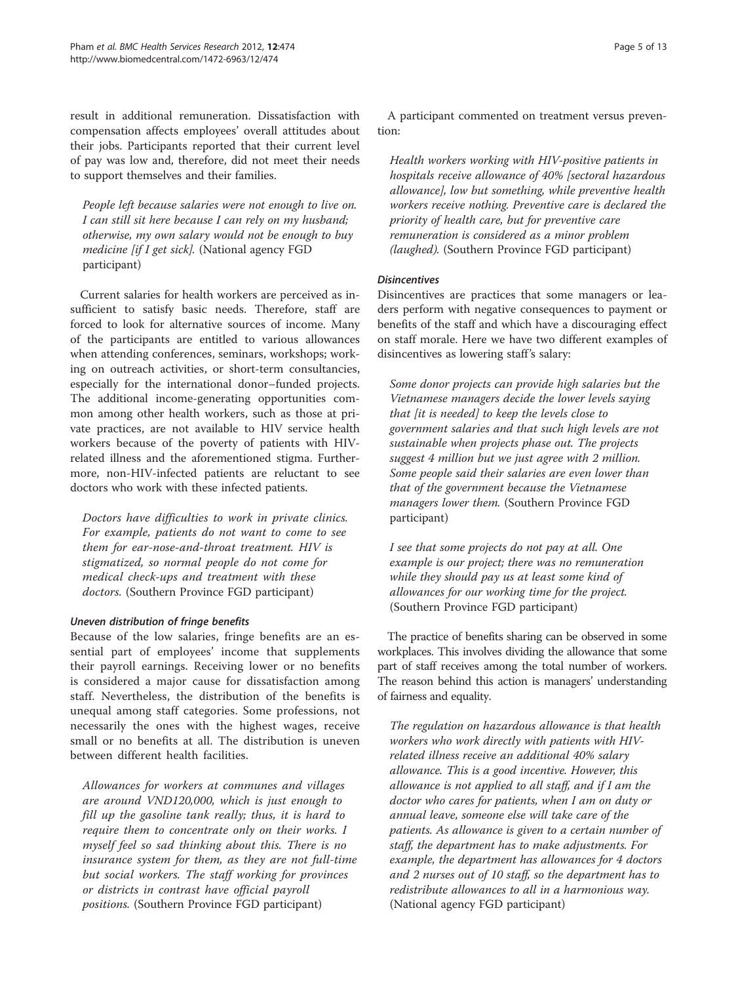result in additional remuneration. Dissatisfaction with compensation affects employees' overall attitudes about their jobs. Participants reported that their current level of pay was low and, therefore, did not meet their needs to support themselves and their families.

People left because salaries were not enough to live on. I can still sit here because I can rely on my husband; otherwise, my own salary would not be enough to buy medicine [if I get sick]. (National agency FGD participant)

Current salaries for health workers are perceived as insufficient to satisfy basic needs. Therefore, staff are forced to look for alternative sources of income. Many of the participants are entitled to various allowances when attending conferences, seminars, workshops; working on outreach activities, or short-term consultancies, especially for the international donor–funded projects. The additional income-generating opportunities common among other health workers, such as those at private practices, are not available to HIV service health workers because of the poverty of patients with HIVrelated illness and the aforementioned stigma. Furthermore, non-HIV-infected patients are reluctant to see doctors who work with these infected patients.

Doctors have difficulties to work in private clinics. For example, patients do not want to come to see them for ear-nose-and-throat treatment. HIV is stigmatized, so normal people do not come for medical check-ups and treatment with these doctors. (Southern Province FGD participant)

# Uneven distribution of fringe benefits

Because of the low salaries, fringe benefits are an essential part of employees' income that supplements their payroll earnings. Receiving lower or no benefits is considered a major cause for dissatisfaction among staff. Nevertheless, the distribution of the benefits is unequal among staff categories. Some professions, not necessarily the ones with the highest wages, receive small or no benefits at all. The distribution is uneven between different health facilities.

Allowances for workers at communes and villages are around VND120,000, which is just enough to fill up the gasoline tank really; thus, it is hard to require them to concentrate only on their works. I myself feel so sad thinking about this. There is no insurance system for them, as they are not full-time but social workers. The staff working for provinces or districts in contrast have official payroll positions. (Southern Province FGD participant)

A participant commented on treatment versus prevention:

Health workers working with HIV-positive patients in hospitals receive allowance of 40% [sectoral hazardous allowance], low but something, while preventive health workers receive nothing. Preventive care is declared the priority of health care, but for preventive care remuneration is considered as a minor problem (laughed). (Southern Province FGD participant)

# Disincentives

Disincentives are practices that some managers or leaders perform with negative consequences to payment or benefits of the staff and which have a discouraging effect on staff morale. Here we have two different examples of disincentives as lowering staff's salary:

Some donor projects can provide high salaries but the Vietnamese managers decide the lower levels saying that [it is needed] to keep the levels close to government salaries and that such high levels are not sustainable when projects phase out. The projects suggest 4 million but we just agree with 2 million. Some people said their salaries are even lower than that of the government because the Vietnamese managers lower them. (Southern Province FGD participant)

I see that some projects do not pay at all. One example is our project; there was no remuneration while they should pay us at least some kind of allowances for our working time for the project. (Southern Province FGD participant)

The practice of benefits sharing can be observed in some workplaces. This involves dividing the allowance that some part of staff receives among the total number of workers. The reason behind this action is managers' understanding of fairness and equality.

The regulation on hazardous allowance is that health workers who work directly with patients with HIVrelated illness receive an additional 40% salary allowance. This is a good incentive. However, this allowance is not applied to all staff, and if I am the doctor who cares for patients, when I am on duty or annual leave, someone else will take care of the patients. As allowance is given to a certain number of staff, the department has to make adjustments. For example, the department has allowances for 4 doctors and 2 nurses out of 10 staff, so the department has to redistribute allowances to all in a harmonious way. (National agency FGD participant)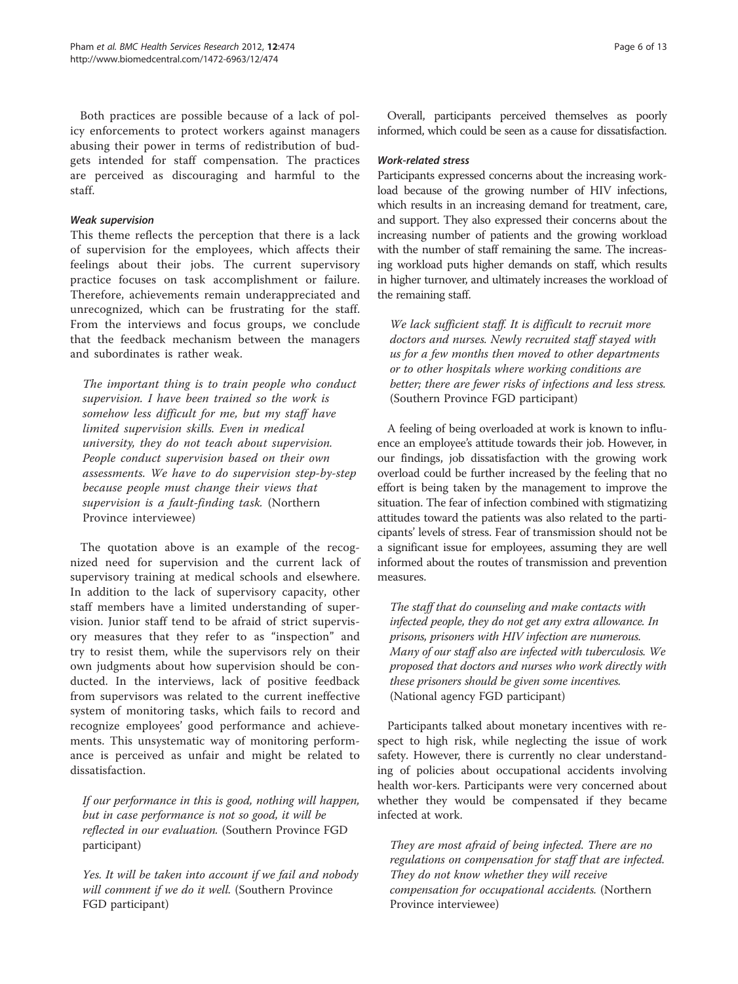Both practices are possible because of a lack of policy enforcements to protect workers against managers abusing their power in terms of redistribution of budgets intended for staff compensation. The practices are perceived as discouraging and harmful to the staff.

# Weak supervision

This theme reflects the perception that there is a lack of supervision for the employees, which affects their feelings about their jobs. The current supervisory practice focuses on task accomplishment or failure. Therefore, achievements remain underappreciated and unrecognized, which can be frustrating for the staff. From the interviews and focus groups, we conclude that the feedback mechanism between the managers and subordinates is rather weak.

The important thing is to train people who conduct supervision. I have been trained so the work is somehow less difficult for me, but my staff have limited supervision skills. Even in medical university, they do not teach about supervision. People conduct supervision based on their own assessments. We have to do supervision step-by-step because people must change their views that supervision is a fault-finding task. (Northern Province interviewee)

The quotation above is an example of the recognized need for supervision and the current lack of supervisory training at medical schools and elsewhere. In addition to the lack of supervisory capacity, other staff members have a limited understanding of supervision. Junior staff tend to be afraid of strict supervisory measures that they refer to as "inspection" and try to resist them, while the supervisors rely on their own judgments about how supervision should be conducted. In the interviews, lack of positive feedback from supervisors was related to the current ineffective system of monitoring tasks, which fails to record and recognize employees' good performance and achievements. This unsystematic way of monitoring performance is perceived as unfair and might be related to dissatisfaction.

If our performance in this is good, nothing will happen, but in case performance is not so good, it will be reflected in our evaluation. (Southern Province FGD participant)

Yes. It will be taken into account if we fail and nobody will comment if we do it well. (Southern Province FGD participant)

Overall, participants perceived themselves as poorly informed, which could be seen as a cause for dissatisfaction.

# Work-related stress

Participants expressed concerns about the increasing workload because of the growing number of HIV infections, which results in an increasing demand for treatment, care, and support. They also expressed their concerns about the increasing number of patients and the growing workload with the number of staff remaining the same. The increasing workload puts higher demands on staff, which results in higher turnover, and ultimately increases the workload of the remaining staff.

We lack sufficient staff. It is difficult to recruit more doctors and nurses. Newly recruited staff stayed with us for a few months then moved to other departments or to other hospitals where working conditions are better; there are fewer risks of infections and less stress. (Southern Province FGD participant)

A feeling of being overloaded at work is known to influence an employee's attitude towards their job. However, in our findings, job dissatisfaction with the growing work overload could be further increased by the feeling that no effort is being taken by the management to improve the situation. The fear of infection combined with stigmatizing attitudes toward the patients was also related to the participants' levels of stress. Fear of transmission should not be a significant issue for employees, assuming they are well informed about the routes of transmission and prevention measures.

The staff that do counseling and make contacts with infected people, they do not get any extra allowance. In prisons, prisoners with HIV infection are numerous. Many of our staff also are infected with tuberculosis. We proposed that doctors and nurses who work directly with these prisoners should be given some incentives. (National agency FGD participant)

Participants talked about monetary incentives with respect to high risk, while neglecting the issue of work safety. However, there is currently no clear understanding of policies about occupational accidents involving health wor-kers. Participants were very concerned about whether they would be compensated if they became infected at work.

They are most afraid of being infected. There are no regulations on compensation for staff that are infected. They do not know whether they will receive compensation for occupational accidents. (Northern Province interviewee)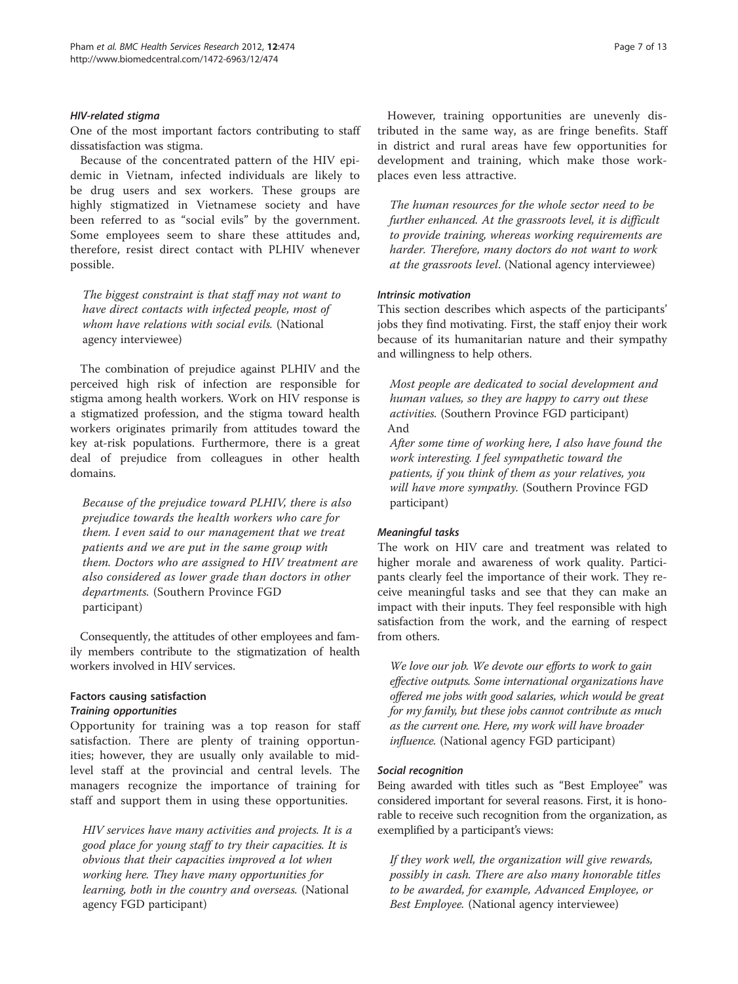## HIV-related stigma

One of the most important factors contributing to staff dissatisfaction was stigma.

Because of the concentrated pattern of the HIV epidemic in Vietnam, infected individuals are likely to be drug users and sex workers. These groups are highly stigmatized in Vietnamese society and have been referred to as "social evils" by the government. Some employees seem to share these attitudes and, therefore, resist direct contact with PLHIV whenever possible.

The biggest constraint is that staff may not want to have direct contacts with infected people, most of whom have relations with social evils. (National agency interviewee)

The combination of prejudice against PLHIV and the perceived high risk of infection are responsible for stigma among health workers. Work on HIV response is a stigmatized profession, and the stigma toward health workers originates primarily from attitudes toward the key at-risk populations. Furthermore, there is a great deal of prejudice from colleagues in other health domains.

Because of the prejudice toward PLHIV, there is also prejudice towards the health workers who care for them. I even said to our management that we treat patients and we are put in the same group with them. Doctors who are assigned to HIV treatment are also considered as lower grade than doctors in other departments. (Southern Province FGD participant)

Consequently, the attitudes of other employees and family members contribute to the stigmatization of health workers involved in HIV services.

# Factors causing satisfaction Training opportunities

Opportunity for training was a top reason for staff satisfaction. There are plenty of training opportunities; however, they are usually only available to midlevel staff at the provincial and central levels. The managers recognize the importance of training for staff and support them in using these opportunities.

HIV services have many activities and projects. It is a good place for young staff to try their capacities. It is obvious that their capacities improved a lot when working here. They have many opportunities for learning, both in the country and overseas. (National agency FGD participant)

However, training opportunities are unevenly distributed in the same way, as are fringe benefits. Staff in district and rural areas have few opportunities for development and training, which make those workplaces even less attractive.

The human resources for the whole sector need to be further enhanced. At the grassroots level, it is difficult to provide training, whereas working requirements are harder. Therefore, many doctors do not want to work at the grassroots level. (National agency interviewee)

#### Intrinsic motivation

This section describes which aspects of the participants' jobs they find motivating. First, the staff enjoy their work because of its humanitarian nature and their sympathy and willingness to help others.

Most people are dedicated to social development and human values, so they are happy to carry out these activities. (Southern Province FGD participant) And

After some time of working here, I also have found the work interesting. I feel sympathetic toward the patients, if you think of them as your relatives, you will have more sympathy. (Southern Province FGD participant)

# Meaningful tasks

The work on HIV care and treatment was related to higher morale and awareness of work quality. Participants clearly feel the importance of their work. They receive meaningful tasks and see that they can make an impact with their inputs. They feel responsible with high satisfaction from the work, and the earning of respect from others.

We love our job. We devote our efforts to work to gain effective outputs. Some international organizations have offered me jobs with good salaries, which would be great for my family, but these jobs cannot contribute as much as the current one. Here, my work will have broader influence. (National agency FGD participant)

#### Social recognition

Being awarded with titles such as "Best Employee" was considered important for several reasons. First, it is honorable to receive such recognition from the organization, as exemplified by a participant's views:

If they work well, the organization will give rewards, possibly in cash. There are also many honorable titles to be awarded, for example, Advanced Employee, or Best Employee. (National agency interviewee)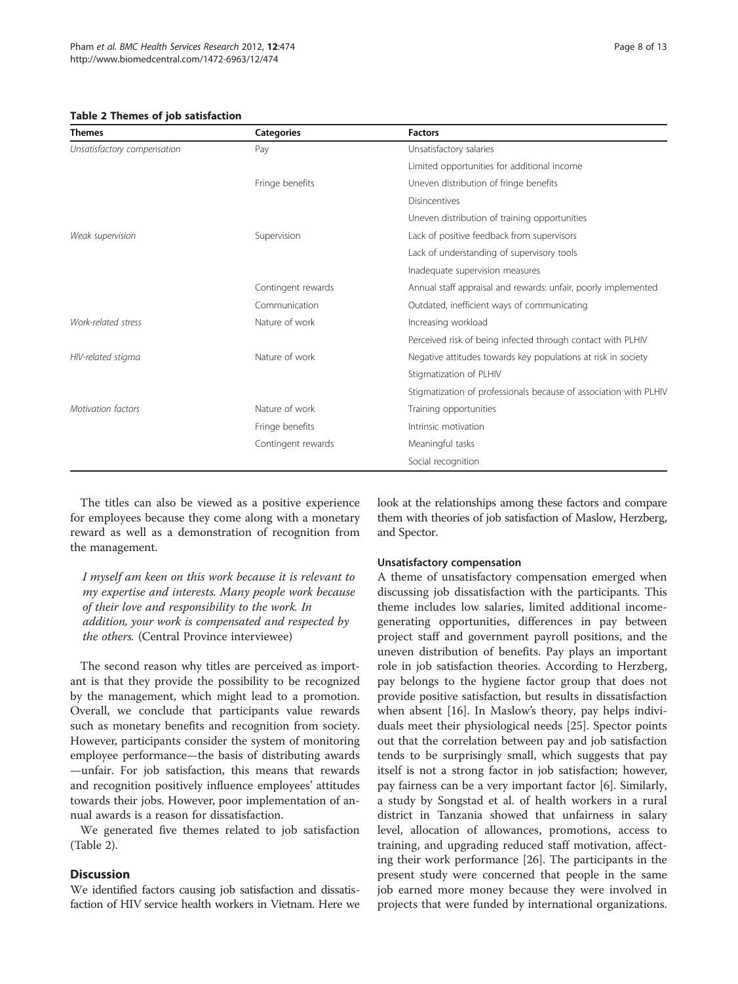#### Table 2 Themes of job satisfaction

| <b>Themes</b>               | <b>Categories</b>  | <b>Factors</b>                                                    |
|-----------------------------|--------------------|-------------------------------------------------------------------|
| Unsatisfactory compensation | Pay                | Unsatisfactory salaries                                           |
|                             |                    | Limited opportunities for additional income                       |
|                             | Fringe benefits    | Uneven distribution of fringe benefits                            |
|                             |                    | <b>Disincentives</b>                                              |
|                             |                    | Uneven distribution of training opportunities                     |
| Weak supervision            | Supervision        | Lack of positive feedback from supervisors                        |
|                             |                    | Lack of understanding of supervisory tools                        |
|                             |                    | Inadequate supervision measures                                   |
|                             | Contingent rewards | Annual staff appraisal and rewards: unfair, poorly implemented    |
|                             | Communication      | Outdated, inefficient ways of communicating                       |
| Work-related stress         | Nature of work     | Increasing workload                                               |
|                             |                    | Perceived risk of being infected through contact with PLHIV       |
| HIV-related stigma          | Nature of work     | Negative attitudes towards key populations at risk in society     |
|                             |                    | Stigmatization of PLHIV                                           |
|                             |                    | Stigmatization of professionals because of association with PLHIV |
| <b>Motivation factors</b>   | Nature of work     | Training opportunities                                            |
|                             | Fringe benefits    | Intrinsic motivation                                              |
|                             | Contingent rewards | Meaningful tasks                                                  |
|                             |                    | Social recognition                                                |

The titles can also be viewed as a positive experience for employees because they come along with a monetary reward as well as a demonstration of recognition from the management.

I myself am keen on this work because it is relevant to my expertise and interests. Many people work because of their love and responsibility to the work. In addition, your work is compensated and respected by the others. (Central Province interviewee)

The second reason why titles are perceived as important is that they provide the possibility to be recognized by the management, which might lead to a promotion. Overall, we conclude that participants value rewards such as monetary benefits and recognition from society. However, participants consider the system of monitoring employee performance—the basis of distributing awards —unfair. For job satisfaction, this means that rewards and recognition positively influence employees' attitudes towards their jobs. However, poor implementation of annual awards is a reason for dissatisfaction.

We generated five themes related to job satisfaction (Table 2).

# **Discussion**

We identified factors causing job satisfaction and dissatisfaction of HIV service health workers in Vietnam. Here we look at the relationships among these factors and compare them with theories of job satisfaction of Maslow, Herzberg, and Spector.

## Unsatisfactory compensation

A theme of unsatisfactory compensation emerged when discussing job dissatisfaction with the participants. This theme includes low salaries, limited additional incomegenerating opportunities, differences in pay between project staff and government payroll positions, and the uneven distribution of benefits. Pay plays an important role in job satisfaction theories. According to Herzberg, pay belongs to the hygiene factor group that does not provide positive satisfaction, but results in dissatisfaction when absent [\[16\]](#page-13-0). In Maslow's theory, pay helps individuals meet their physiological needs [[25](#page-13-0)]. Spector points out that the correlation between pay and job satisfaction tends to be surprisingly small, which suggests that pay itself is not a strong factor in job satisfaction; however, pay fairness can be a very important factor [\[6](#page-12-0)]. Similarly, a study by Songstad et al. of health workers in a rural district in Tanzania showed that unfairness in salary level, allocation of allowances, promotions, access to training, and upgrading reduced staff motivation, affecting their work performance [\[26\]](#page-13-0). The participants in the present study were concerned that people in the same job earned more money because they were involved in projects that were funded by international organizations.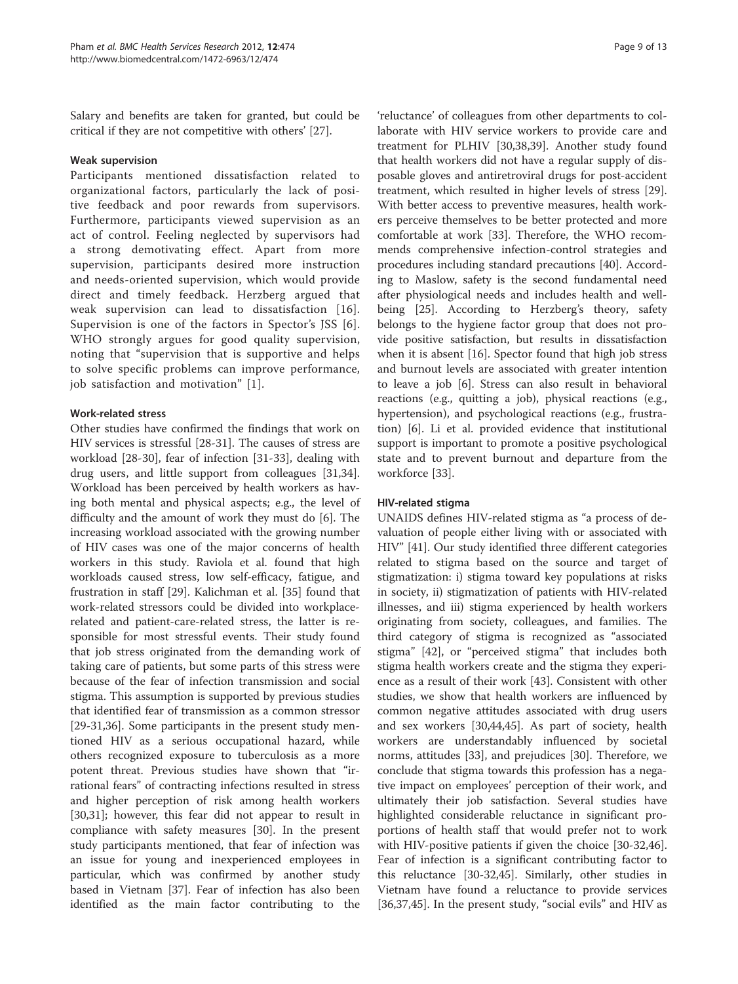Salary and benefits are taken for granted, but could be critical if they are not competitive with others' [[27\]](#page-13-0).

# Weak supervision

Participants mentioned dissatisfaction related to organizational factors, particularly the lack of positive feedback and poor rewards from supervisors. Furthermore, participants viewed supervision as an act of control. Feeling neglected by supervisors had a strong demotivating effect. Apart from more supervision, participants desired more instruction and needs-oriented supervision, which would provide direct and timely feedback. Herzberg argued that weak supervision can lead to dissatisfaction [[16](#page-13-0)]. Supervision is one of the factors in Spector's JSS [[6\]](#page-12-0). WHO strongly argues for good quality supervision, noting that "supervision that is supportive and helps to solve specific problems can improve performance, job satisfaction and motivation" [[1\]](#page-12-0).

# Work-related stress

Other studies have confirmed the findings that work on HIV services is stressful [[28-31](#page-13-0)]. The causes of stress are workload [\[28](#page-13-0)-[30\]](#page-13-0), fear of infection [\[31](#page-13-0)-[33\]](#page-13-0), dealing with drug users, and little support from colleagues [\[31,34](#page-13-0)]. Workload has been perceived by health workers as having both mental and physical aspects; e.g., the level of difficulty and the amount of work they must do [[6\]](#page-12-0). The increasing workload associated with the growing number of HIV cases was one of the major concerns of health workers in this study. Raviola et al. found that high workloads caused stress, low self-efficacy, fatigue, and frustration in staff [\[29](#page-13-0)]. Kalichman et al. [[35\]](#page-13-0) found that work-related stressors could be divided into workplacerelated and patient-care-related stress, the latter is responsible for most stressful events. Their study found that job stress originated from the demanding work of taking care of patients, but some parts of this stress were because of the fear of infection transmission and social stigma. This assumption is supported by previous studies that identified fear of transmission as a common stressor [[29-31,36\]](#page-13-0). Some participants in the present study mentioned HIV as a serious occupational hazard, while others recognized exposure to tuberculosis as a more potent threat. Previous studies have shown that "irrational fears" of contracting infections resulted in stress and higher perception of risk among health workers [[30,31\]](#page-13-0); however, this fear did not appear to result in compliance with safety measures [\[30](#page-13-0)]. In the present study participants mentioned, that fear of infection was an issue for young and inexperienced employees in particular, which was confirmed by another study based in Vietnam [[37\]](#page-13-0). Fear of infection has also been identified as the main factor contributing to the

'reluctance' of colleagues from other departments to collaborate with HIV service workers to provide care and treatment for PLHIV [[30,38,39\]](#page-13-0). Another study found that health workers did not have a regular supply of disposable gloves and antiretroviral drugs for post-accident treatment, which resulted in higher levels of stress [\[29](#page-13-0)]. With better access to preventive measures, health workers perceive themselves to be better protected and more comfortable at work [\[33](#page-13-0)]. Therefore, the WHO recommends comprehensive infection-control strategies and procedures including standard precautions [[40\]](#page-13-0). According to Maslow, safety is the second fundamental need after physiological needs and includes health and wellbeing [\[25](#page-13-0)]. According to Herzberg's theory, safety belongs to the hygiene factor group that does not provide positive satisfaction, but results in dissatisfaction when it is absent [[16](#page-13-0)]. Spector found that high job stress and burnout levels are associated with greater intention to leave a job [[6\]](#page-12-0). Stress can also result in behavioral reactions (e.g., quitting a job), physical reactions (e.g., hypertension), and psychological reactions (e.g., frustration) [\[6](#page-12-0)]. Li et al. provided evidence that institutional support is important to promote a positive psychological state and to prevent burnout and departure from the workforce [[33\]](#page-13-0).

# HIV-related stigma

UNAIDS defines HIV-related stigma as "a process of devaluation of people either living with or associated with HIV" [\[41\]](#page-13-0). Our study identified three different categories related to stigma based on the source and target of stigmatization: i) stigma toward key populations at risks in society, ii) stigmatization of patients with HIV-related illnesses, and iii) stigma experienced by health workers originating from society, colleagues, and families. The third category of stigma is recognized as "associated stigma" [\[42](#page-13-0)], or "perceived stigma" that includes both stigma health workers create and the stigma they experience as a result of their work [\[43\]](#page-13-0). Consistent with other studies, we show that health workers are influenced by common negative attitudes associated with drug users and sex workers [[30](#page-13-0),[44](#page-13-0),[45](#page-13-0)]. As part of society, health workers are understandably influenced by societal norms, attitudes [\[33](#page-13-0)], and prejudices [\[30\]](#page-13-0). Therefore, we conclude that stigma towards this profession has a negative impact on employees' perception of their work, and ultimately their job satisfaction. Several studies have highlighted considerable reluctance in significant proportions of health staff that would prefer not to work with HIV-positive patients if given the choice [\[30-32,46](#page-13-0)]. Fear of infection is a significant contributing factor to this reluctance [\[30](#page-13-0)-[32](#page-13-0),[45](#page-13-0)]. Similarly, other studies in Vietnam have found a reluctance to provide services [[36,37,45\]](#page-13-0). In the present study, "social evils" and HIV as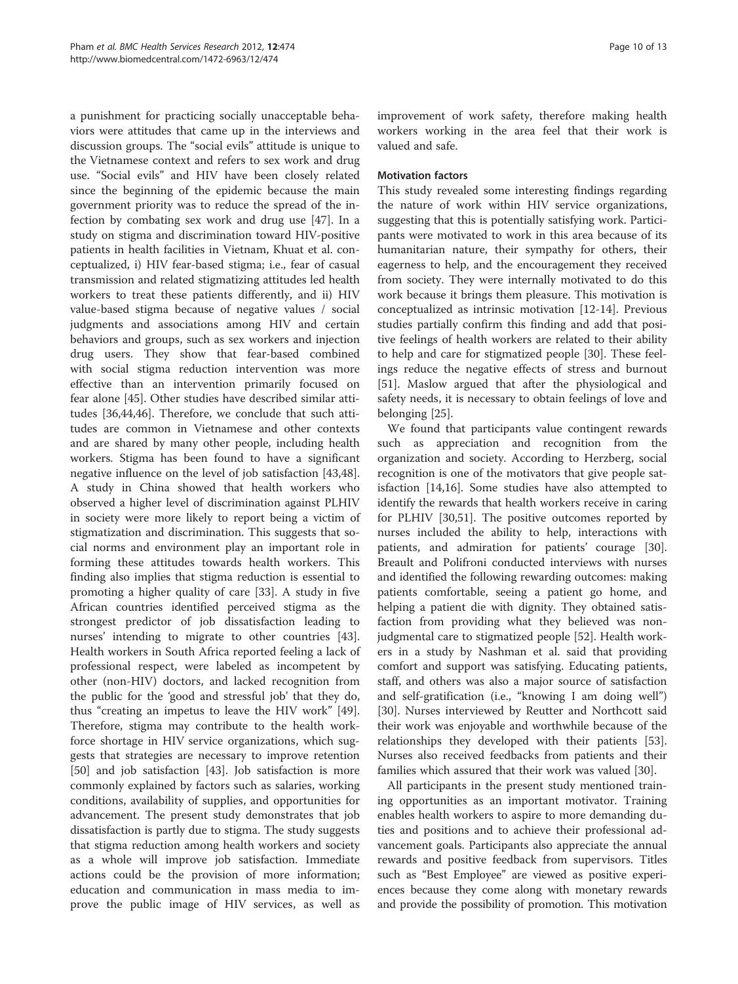a punishment for practicing socially unacceptable behaviors were attitudes that came up in the interviews and discussion groups. The "social evils" attitude is unique to the Vietnamese context and refers to sex work and drug use. "Social evils" and HIV have been closely related since the beginning of the epidemic because the main government priority was to reduce the spread of the infection by combating sex work and drug use [\[47\]](#page-13-0). In a study on stigma and discrimination toward HIV-positive patients in health facilities in Vietnam, Khuat et al. conceptualized, i) HIV fear-based stigma; i.e., fear of casual transmission and related stigmatizing attitudes led health workers to treat these patients differently, and ii) HIV value-based stigma because of negative values / social judgments and associations among HIV and certain behaviors and groups, such as sex workers and injection drug users. They show that fear-based combined with social stigma reduction intervention was more effective than an intervention primarily focused on fear alone [\[45\]](#page-13-0). Other studies have described similar attitudes [[36](#page-13-0),[44](#page-13-0),[46](#page-13-0)]. Therefore, we conclude that such attitudes are common in Vietnamese and other contexts and are shared by many other people, including health workers. Stigma has been found to have a significant negative influence on the level of job satisfaction [\[43,48](#page-13-0)]. A study in China showed that health workers who observed a higher level of discrimination against PLHIV in society were more likely to report being a victim of stigmatization and discrimination. This suggests that social norms and environment play an important role in forming these attitudes towards health workers. This finding also implies that stigma reduction is essential to promoting a higher quality of care [[33\]](#page-13-0). A study in five African countries identified perceived stigma as the strongest predictor of job dissatisfaction leading to nurses' intending to migrate to other countries [\[43](#page-13-0)]. Health workers in South Africa reported feeling a lack of professional respect, were labeled as incompetent by other (non-HIV) doctors, and lacked recognition from the public for the 'good and stressful job' that they do, thus "creating an impetus to leave the HIV work" [\[49](#page-13-0)]. Therefore, stigma may contribute to the health workforce shortage in HIV service organizations, which suggests that strategies are necessary to improve retention [[50\]](#page-13-0) and job satisfaction [\[43\]](#page-13-0). Job satisfaction is more commonly explained by factors such as salaries, working conditions, availability of supplies, and opportunities for advancement. The present study demonstrates that job dissatisfaction is partly due to stigma. The study suggests that stigma reduction among health workers and society as a whole will improve job satisfaction. Immediate actions could be the provision of more information; education and communication in mass media to improve the public image of HIV services, as well as

improvement of work safety, therefore making health workers working in the area feel that their work is valued and safe.

# Motivation factors

This study revealed some interesting findings regarding the nature of work within HIV service organizations, suggesting that this is potentially satisfying work. Participants were motivated to work in this area because of its humanitarian nature, their sympathy for others, their eagerness to help, and the encouragement they received from society. They were internally motivated to do this work because it brings them pleasure. This motivation is conceptualized as intrinsic motivation [\[12](#page-12-0)[-14](#page-13-0)]. Previous studies partially confirm this finding and add that positive feelings of health workers are related to their ability to help and care for stigmatized people [\[30](#page-13-0)]. These feelings reduce the negative effects of stress and burnout [[51\]](#page-13-0). Maslow argued that after the physiological and safety needs, it is necessary to obtain feelings of love and belonging [[25\]](#page-13-0).

We found that participants value contingent rewards such as appreciation and recognition from the organization and society. According to Herzberg, social recognition is one of the motivators that give people satisfaction [\[14,16\]](#page-13-0). Some studies have also attempted to identify the rewards that health workers receive in caring for PLHIV [\[30,51](#page-13-0)]. The positive outcomes reported by nurses included the ability to help, interactions with patients, and admiration for patients' courage [\[30](#page-13-0)]. Breault and Polifroni conducted interviews with nurses and identified the following rewarding outcomes: making patients comfortable, seeing a patient go home, and helping a patient die with dignity. They obtained satisfaction from providing what they believed was nonjudgmental care to stigmatized people [\[52](#page-13-0)]. Health workers in a study by Nashman et al. said that providing comfort and support was satisfying. Educating patients, staff, and others was also a major source of satisfaction and self-gratification (i.e., "knowing I am doing well") [[30\]](#page-13-0). Nurses interviewed by Reutter and Northcott said their work was enjoyable and worthwhile because of the relationships they developed with their patients [\[53](#page-13-0)]. Nurses also received feedbacks from patients and their families which assured that their work was valued [\[30\]](#page-13-0).

All participants in the present study mentioned training opportunities as an important motivator. Training enables health workers to aspire to more demanding duties and positions and to achieve their professional advancement goals. Participants also appreciate the annual rewards and positive feedback from supervisors. Titles such as "Best Employee" are viewed as positive experiences because they come along with monetary rewards and provide the possibility of promotion. This motivation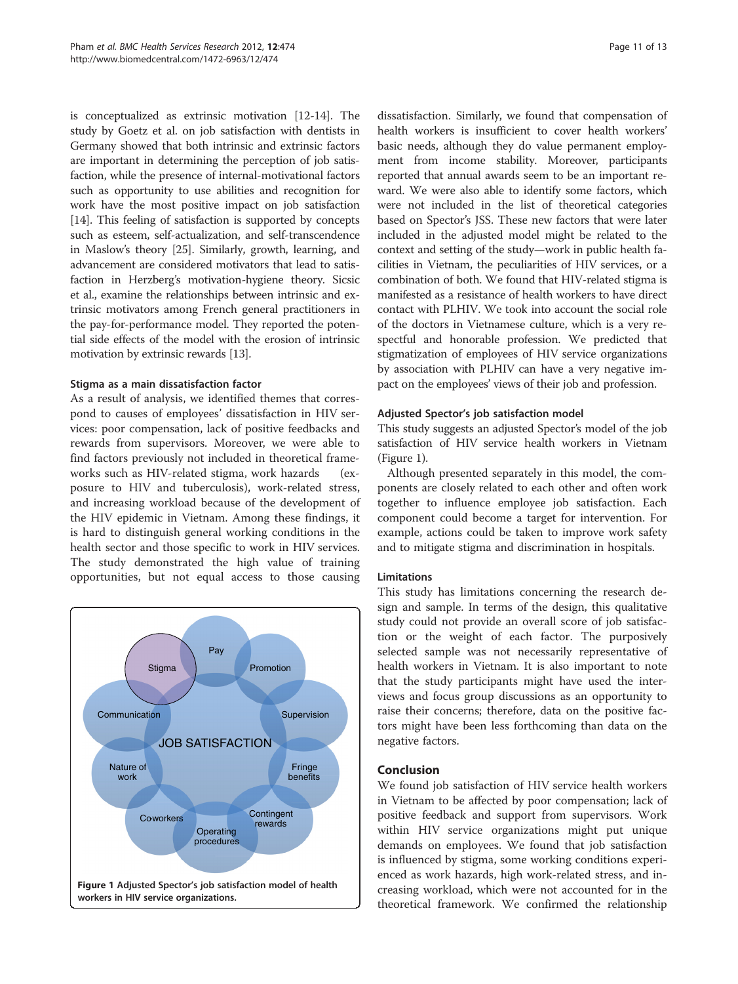is conceptualized as extrinsic motivation [[12](#page-12-0)-[14](#page-13-0)]. The study by Goetz et al. on job satisfaction with dentists in Germany showed that both intrinsic and extrinsic factors are important in determining the perception of job satisfaction, while the presence of internal-motivational factors such as opportunity to use abilities and recognition for work have the most positive impact on job satisfaction [[14](#page-13-0)]. This feeling of satisfaction is supported by concepts such as esteem, self-actualization, and self-transcendence in Maslow's theory [\[25\]](#page-13-0). Similarly, growth, learning, and advancement are considered motivators that lead to satisfaction in Herzberg's motivation-hygiene theory. Sicsic et al., examine the relationships between intrinsic and extrinsic motivators among French general practitioners in the pay-for-performance model. They reported the potential side effects of the model with the erosion of intrinsic motivation by extrinsic rewards [\[13\]](#page-12-0).

# Stigma as a main dissatisfaction factor

As a result of analysis, we identified themes that correspond to causes of employees' dissatisfaction in HIV services: poor compensation, lack of positive feedbacks and rewards from supervisors. Moreover, we were able to find factors previously not included in theoretical frameworks such as HIV-related stigma, work hazards (exposure to HIV and tuberculosis), work-related stress, and increasing workload because of the development of the HIV epidemic in Vietnam. Among these findings, it is hard to distinguish general working conditions in the health sector and those specific to work in HIV services. The study demonstrated the high value of training opportunities, but not equal access to those causing



dissatisfaction. Similarly, we found that compensation of health workers is insufficient to cover health workers' basic needs, although they do value permanent employment from income stability. Moreover, participants reported that annual awards seem to be an important reward. We were also able to identify some factors, which were not included in the list of theoretical categories based on Spector's JSS. These new factors that were later included in the adjusted model might be related to the context and setting of the study—work in public health facilities in Vietnam, the peculiarities of HIV services, or a combination of both. We found that HIV-related stigma is manifested as a resistance of health workers to have direct contact with PLHIV. We took into account the social role of the doctors in Vietnamese culture, which is a very respectful and honorable profession. We predicted that stigmatization of employees of HIV service organizations by association with PLHIV can have a very negative impact on the employees' views of their job and profession.

# Adjusted Spector's job satisfaction model

This study suggests an adjusted Spector's model of the job satisfaction of HIV service health workers in Vietnam (Figure 1).

Although presented separately in this model, the components are closely related to each other and often work together to influence employee job satisfaction. Each component could become a target for intervention. For example, actions could be taken to improve work safety and to mitigate stigma and discrimination in hospitals.

# Limitations

This study has limitations concerning the research design and sample. In terms of the design, this qualitative study could not provide an overall score of job satisfaction or the weight of each factor. The purposively selected sample was not necessarily representative of health workers in Vietnam. It is also important to note that the study participants might have used the interviews and focus group discussions as an opportunity to raise their concerns; therefore, data on the positive factors might have been less forthcoming than data on the negative factors.

# Conclusion

We found job satisfaction of HIV service health workers in Vietnam to be affected by poor compensation; lack of positive feedback and support from supervisors. Work within HIV service organizations might put unique demands on employees. We found that job satisfaction is influenced by stigma, some working conditions experienced as work hazards, high work-related stress, and increasing workload, which were not accounted for in the theoretical framework. We confirmed the relationship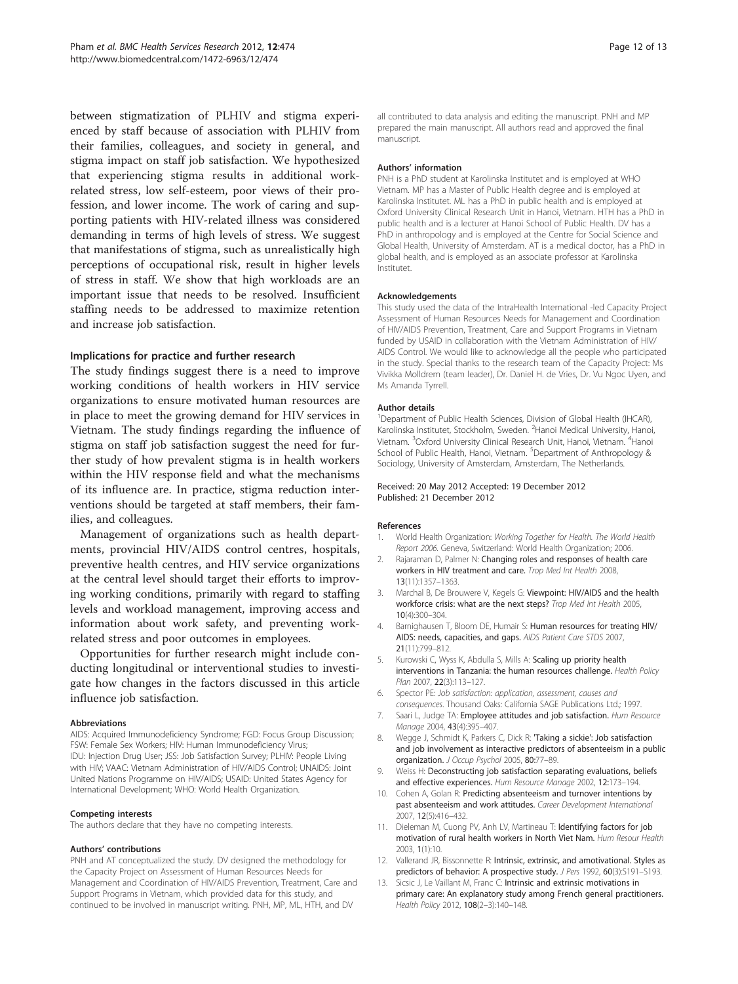<span id="page-12-0"></span>between stigmatization of PLHIV and stigma experienced by staff because of association with PLHIV from their families, colleagues, and society in general, and stigma impact on staff job satisfaction. We hypothesized that experiencing stigma results in additional workrelated stress, low self-esteem, poor views of their profession, and lower income. The work of caring and supporting patients with HIV-related illness was considered demanding in terms of high levels of stress. We suggest that manifestations of stigma, such as unrealistically high perceptions of occupational risk, result in higher levels of stress in staff. We show that high workloads are an important issue that needs to be resolved. Insufficient staffing needs to be addressed to maximize retention and increase job satisfaction.

# Implications for practice and further research

The study findings suggest there is a need to improve working conditions of health workers in HIV service organizations to ensure motivated human resources are in place to meet the growing demand for HIV services in Vietnam. The study findings regarding the influence of stigma on staff job satisfaction suggest the need for further study of how prevalent stigma is in health workers within the HIV response field and what the mechanisms of its influence are. In practice, stigma reduction interventions should be targeted at staff members, their families, and colleagues.

Management of organizations such as health departments, provincial HIV/AIDS control centres, hospitals, preventive health centres, and HIV service organizations at the central level should target their efforts to improving working conditions, primarily with regard to staffing levels and workload management, improving access and information about work safety, and preventing workrelated stress and poor outcomes in employees.

Opportunities for further research might include conducting longitudinal or interventional studies to investigate how changes in the factors discussed in this article influence job satisfaction.

#### Abbreviations

AIDS: Acquired Immunodeficiency Syndrome; FGD: Focus Group Discussion; FSW: Female Sex Workers; HIV: Human Immunodeficiency Virus; IDU: Injection Drug User; JSS: Job Satisfaction Survey; PLHIV: People Living with HIV; VAAC: Vietnam Administration of HIV/AIDS Control; UNAIDS: Joint United Nations Programme on HIV/AIDS; USAID: United States Agency for International Development; WHO: World Health Organization.

#### Competing interests

The authors declare that they have no competing interests.

#### Authors' contributions

PNH and AT conceptualized the study. DV designed the methodology for the Capacity Project on Assessment of Human Resources Needs for Management and Coordination of HIV/AIDS Prevention, Treatment, Care and Support Programs in Vietnam, which provided data for this study, and continued to be involved in manuscript writing. PNH, MP, ML, HTH, and DV

all contributed to data analysis and editing the manuscript. PNH and MP prepared the main manuscript. All authors read and approved the final manuscript.

#### Authors' information

PNH is a PhD student at Karolinska Institutet and is employed at WHO Vietnam. MP has a Master of Public Health degree and is employed at Karolinska Institutet. ML has a PhD in public health and is employed at Oxford University Clinical Research Unit in Hanoi, Vietnam. HTH has a PhD in public health and is a lecturer at Hanoi School of Public Health. DV has a PhD in anthropology and is employed at the Centre for Social Science and Global Health, University of Amsterdam. AT is a medical doctor, has a PhD in global health, and is employed as an associate professor at Karolinska Institutet.

#### Acknowledgements

This study used the data of the IntraHealth International -led Capacity Project Assessment of Human Resources Needs for Management and Coordination of HIV/AIDS Prevention, Treatment, Care and Support Programs in Vietnam funded by USAID in collaboration with the Vietnam Administration of HIV/ AIDS Control. We would like to acknowledge all the people who participated in the study. Special thanks to the research team of the Capacity Project: Ms Vivikka Molldrem (team leader), Dr. Daniel H. de Vries, Dr. Vu Ngoc Uyen, and Ms Amanda Tyrrell.

#### Author details

<sup>1</sup>Department of Public Health Sciences, Division of Global Health (IHCAR), Karolinska Institutet, Stockholm, Sweden. <sup>2</sup>Hanoi Medical University, Hanoi, Vietnam. <sup>3</sup>Oxford University Clinical Research Unit, Hanoi, Vietnam. <sup>4</sup>Hanoi School of Public Health, Hanoi, Vietnam. <sup>5</sup>Department of Anthropology & Sociology, University of Amsterdam, Amsterdam, The Netherlands.

#### Received: 20 May 2012 Accepted: 19 December 2012 Published: 21 December 2012

#### References

- World Health Organization: Working Together for Health. The World Health Report 2006. Geneva, Switzerland: World Health Organization; 2006.
- 2. Rajaraman D, Palmer N: Changing roles and responses of health care workers in HIV treatment and care. Trop Med Int Health 2008, 13(11):1357–1363.
- 3. Marchal B, De Brouwere V, Kegels G: Viewpoint: HIV/AIDS and the health workforce crisis: what are the next steps? Trop Med Int Health 2005, 10(4):300–304.
- 4. Barnighausen T, Bloom DE, Humair S: Human resources for treating HIV/ AIDS: needs, capacities, and gaps. AIDS Patient Care STDS 2007, 21(11):799–812.
- 5. Kurowski C, Wyss K, Abdulla S, Mills A: Scaling up priority health interventions in Tanzania: the human resources challenge. Health Policy Plan 2007, 22(3):113–127.
- 6. Spector PE: Job satisfaction: application, assessment, causes and consequences. Thousand Oaks: California SAGE Publications Ltd.; 1997.
- 7. Saari L, Judge TA: Employee attitudes and job satisfaction. Hum Resource Manage 2004, 43(4):395–407.
- 8. Wegge J, Schmidt K, Parkers C, Dick R: 'Taking a sickie': Job satisfaction and job involvement as interactive predictors of absenteeism in a public organization. J Occup Psychol 2005, 80:77-89.
- 9. Weiss H: Deconstructing job satisfaction separating evaluations, beliefs and effective experiences. Hum Resource Manage 2002, 12:173–194.
- 10. Cohen A, Golan R: Predicting absenteeism and turnover intentions by past absenteeism and work attitudes. Career Development International 2007, 12(5):416–432.
- 11. Dieleman M, Cuong PV, Anh LV, Martineau T: Identifying factors for job motivation of rural health workers in North Viet Nam. Hum Resour Health 2003, 1(1):10.
- 12. Vallerand JR, Bissonnette R: Intrinsic, extrinsic, and amotivational. Styles as predictors of behavior: A prospective study. J Pers 1992, 60(3):S191-S193.
- 13. Sicsic J, Le Vaillant M, Franc C: Intrinsic and extrinsic motivations in primary care: An explanatory study among French general practitioners. Health Policy 2012, 108(2–3):140–148.